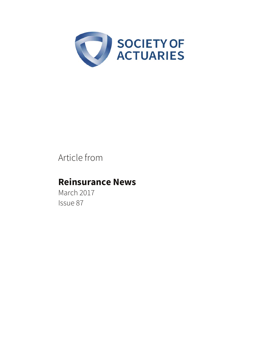

# Article from

# **Reinsurance News**

March 2017 Issue 87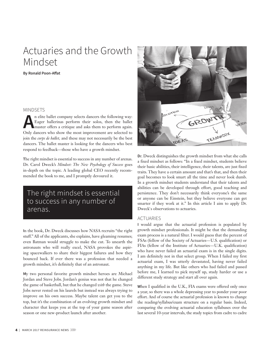# Actuaries and the Growth Mindset

**By Ronald Poon-Affat** 

## MINDSETS

**A**n elite ballet company selects dancers the following way:<br> **A** Eager ballerinas perform their solos, then the ballet<br>
master offers a critique and asks them to perform again.<br>
Only dancers who show the most improvement Eager ballerinas perform their solos, then the ballet master offers a critique and asks them to perform again. Only dancers who show the most improvement are selected to join the *corps de ballet,* and these may not necessarily be the best dancers. The ballet master is looking for the dancers who best respond to feedback—those who have a growth mindset.

**T**he right mindset is essential to success in any number of arenas. Dr. Carol Dweck's *Mindset: The New Psychology of Success* goes in-depth on the topic. A leading global CEO recently recommended the book to me, and I promptly devoured it.

# The right mindset is essential to success in any number of arenas.

**I**n the book, Dr. Dweck discusses how NASA recruits "the right stuff." All of the applicants, she explains, have gleaming resumes; even Batman would struggle to make the cut. To unearth the astronauts who will really excel, NASA provokes the aspiring spacewalkers to share their biggest failures and how they bounced back. If ever there was a profession that needed a growth mindset, it's definitely that of an astronaut.

**M**y two personal favorite growth mindset heroes are Michael Jordan and Steve Jobs. Jordan's genius was not that he changed the game of basketball, but that he changed *with* the game. Steve Jobs never rested on his laurels but instead was always trying to improve on his own success. Maybe talent can get you to the top, but it's the combination of an evolving growth mindset and character that keeps you at the top of your game season after season or one new-product launch after another.



**D**r. Dweck distinguishes the growth mindset from what she calls a fixed mindset as follows: "In a fixed mindset, students believe their basic abilities, their intelligence, their talents, are just fixed traits. They have a certain amount and that's that, and then their goal becomes to look smart all the time and never look dumb. In a growth mindset students understand that their talents and abilities can be developed through effort, good teaching and persistence. They don't necessarily think everyone's the same or anyone can be Einstein, but they believe everyone can get smarter if they work at it." In this article I aim to apply Dr. Dweck`s observations to actuaries.

# ACTUARIES

**I** would argue that the actuarial profession is populated by growth mindset professionals. It might be that the demanding exam process is a natural filter. I would guess that the percent of FSAs (fellow of the Society of Actuaries—U.S. qualification) or FIAs (fellow of the Institute of Actuaries—U.K. qualification) who have never failed an actuarial exam is in the single digits. I am definitely not in that select group. When I failed my first actuarial exam, I was utterly devastated, having never failed anything in my life. But like others who had failed and passed before me, I learned to pick myself up, study harder or use a different study strategy and start all over again.

When I qualified in the U.K., FIA exams were offered only once a year, so there was a whole depressing year to ponder your poor effort. And of course the actuarial profession is known to change the reading/syllabus/exam structure on a regular basis. Indeed, comparing the evolving actuarial education syllabuses over the last several 10-year intervals, the study topics from cadre to cadre